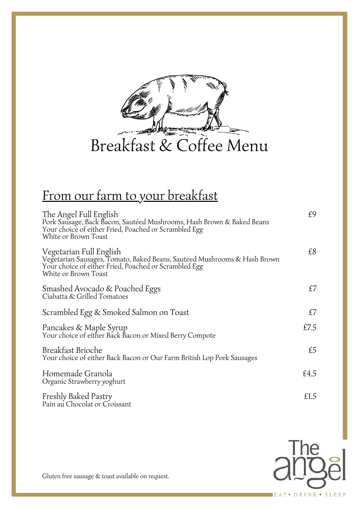

## From our farm to your breakfast

| The Angel Full English<br>Pork Sausage, Back Bacon, Sautéed Mushrooms, Hash Brown & Baked Beans<br>Your choice of either Fried, Poached or Scrambled Egg<br>White or Brown Toast     | £9   |
|--------------------------------------------------------------------------------------------------------------------------------------------------------------------------------------|------|
| Vegetarian Full English<br>Vegetarian Sausages, Tomato, Baked Beans, Sauteed Mushrooms & Hash Brown<br>Your choice of either Fried, Poached or Scrambled Egg<br>White or Brown Toast | £8   |
| Smashed Avocado & Poached Eggs<br>Ciabatta & Grilled Tomatoes                                                                                                                        | £7   |
| Scrambled Egg & Smoked Salmon on Toast                                                                                                                                               | £7   |
| Pancakes & Maple Syrup<br>Your choice of either Back Bacon or Mixed Berry Compote                                                                                                    | £7.5 |
| <b>Breakfast Brioche</b><br>Your choice of either Back Bacon or Our Farm British Lop Pork Sausages                                                                                   | £5   |
| Homemade Granola<br>Organic Strawberry yoghurt                                                                                                                                       | £4.5 |
| Freshly Baked Pastry<br>Pain au Chocolat or Croissant                                                                                                                                | £1.5 |



Gluten free sausage & toast available on request.